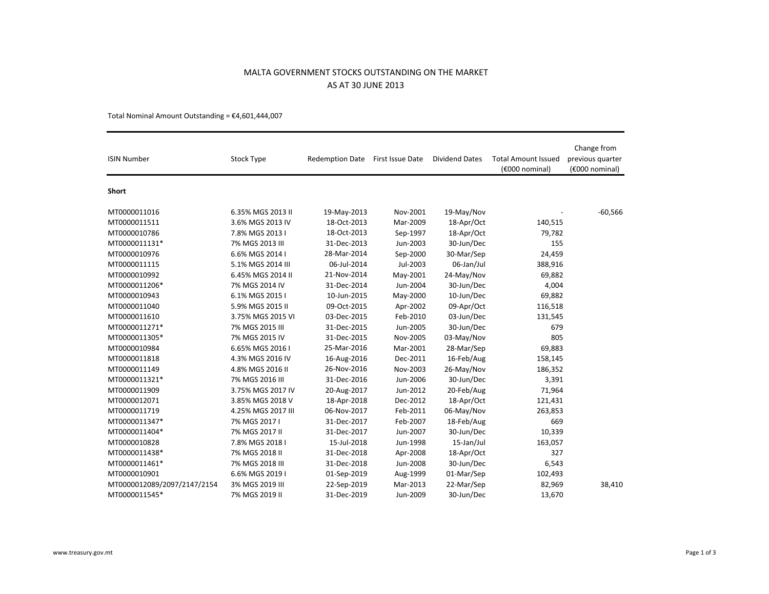## MALTA GOVERNMENT STOCKS OUTSTANDING ON THE MARKETAS AT 30 JUNE 2013

Total Nominal Amount Outstanding =  $£4,601,444,007$ 

| <b>ISIN Number</b>          | Stock Type         | <b>Redemption Date</b> | First Issue Date | <b>Dividend Dates</b> | <b>Total Amount Issued</b><br>(€000 nominal) | Change from<br>previous quarter<br>(€000 nominal) |
|-----------------------------|--------------------|------------------------|------------------|-----------------------|----------------------------------------------|---------------------------------------------------|
| <b>Short</b>                |                    |                        |                  |                       |                                              |                                                   |
| MT0000011016                | 6.35% MGS 2013 II  | 19-May-2013            | Nov-2001         | 19-May/Nov            |                                              | $-60,566$                                         |
| MT0000011511                | 3.6% MGS 2013 IV   | 18-Oct-2013            | Mar-2009         | 18-Apr/Oct            | 140,515                                      |                                                   |
| MT0000010786                | 7.8% MGS 2013 I    | 18-Oct-2013            | Sep-1997         | 18-Apr/Oct            | 79,782                                       |                                                   |
| MT0000011131*               | 7% MGS 2013 III    | 31-Dec-2013            | Jun-2003         | 30-Jun/Dec            | 155                                          |                                                   |
| MT0000010976                | 6.6% MGS 2014 I    | 28-Mar-2014            | Sep-2000         | 30-Mar/Sep            | 24,459                                       |                                                   |
| MT0000011115                | 5.1% MGS 2014 III  | 06-Jul-2014            | Jul-2003         | 06-Jan/Jul            | 388,916                                      |                                                   |
| MT0000010992                | 6.45% MGS 2014 II  | 21-Nov-2014            | May-2001         | 24-May/Nov            | 69,882                                       |                                                   |
| MT0000011206*               | 7% MGS 2014 IV     | 31-Dec-2014            | Jun-2004         | 30-Jun/Dec            | 4,004                                        |                                                   |
| MT0000010943                | 6.1% MGS 2015 I    | 10-Jun-2015            | May-2000         | 10-Jun/Dec            | 69,882                                       |                                                   |
| MT0000011040                | 5.9% MGS 2015 II   | 09-Oct-2015            | Apr-2002         | 09-Apr/Oct            | 116,518                                      |                                                   |
| MT0000011610                | 3.75% MGS 2015 VI  | 03-Dec-2015            | Feb-2010         | 03-Jun/Dec            | 131,545                                      |                                                   |
| MT0000011271*               | 7% MGS 2015 III    | 31-Dec-2015            | Jun-2005         | 30-Jun/Dec            | 679                                          |                                                   |
| MT0000011305*               | 7% MGS 2015 IV     | 31-Dec-2015            | Nov-2005         | 03-May/Nov            | 805                                          |                                                   |
| MT0000010984                | 6.65% MGS 2016 I   | 25-Mar-2016            | Mar-2001         | 28-Mar/Sep            | 69,883                                       |                                                   |
| MT0000011818                | 4.3% MGS 2016 IV   | 16-Aug-2016            | Dec-2011         | 16-Feb/Aug            | 158,145                                      |                                                   |
| MT0000011149                | 4.8% MGS 2016 II   | 26-Nov-2016            | Nov-2003         | 26-May/Nov            | 186,352                                      |                                                   |
| MT0000011321*               | 7% MGS 2016 III    | 31-Dec-2016            | Jun-2006         | 30-Jun/Dec            | 3,391                                        |                                                   |
| MT0000011909                | 3.75% MGS 2017 IV  | 20-Aug-2017            | Jun-2012         | 20-Feb/Aug            | 71,964                                       |                                                   |
| MT0000012071                | 3.85% MGS 2018 V   | 18-Apr-2018            | Dec-2012         | 18-Apr/Oct            | 121,431                                      |                                                   |
| MT0000011719                | 4.25% MGS 2017 III | 06-Nov-2017            | Feb-2011         | 06-May/Nov            | 263,853                                      |                                                   |
| MT0000011347*               | 7% MGS 2017 I      | 31-Dec-2017            | Feb-2007         | 18-Feb/Aug            | 669                                          |                                                   |
| MT0000011404*               | 7% MGS 2017 II     | 31-Dec-2017            | Jun-2007         | 30-Jun/Dec            | 10,339                                       |                                                   |
| MT0000010828                | 7.8% MGS 2018 I    | 15-Jul-2018            | Jun-1998         | 15-Jan/Jul            | 163,057                                      |                                                   |
| MT0000011438*               | 7% MGS 2018 II     | 31-Dec-2018            | Apr-2008         | 18-Apr/Oct            | 327                                          |                                                   |
| MT0000011461*               | 7% MGS 2018 III    | 31-Dec-2018            | Jun-2008         | 30-Jun/Dec            | 6,543                                        |                                                   |
| MT0000010901                | 6.6% MGS 2019 I    | 01-Sep-2019            | Aug-1999         | 01-Mar/Sep            | 102,493                                      |                                                   |
| MT0000012089/2097/2147/2154 | 3% MGS 2019 III    | 22-Sep-2019            | Mar-2013         | 22-Mar/Sep            | 82,969                                       | 38,410                                            |
| MT0000011545*               | 7% MGS 2019 II     | 31-Dec-2019            | Jun-2009         | 30-Jun/Dec            | 13,670                                       |                                                   |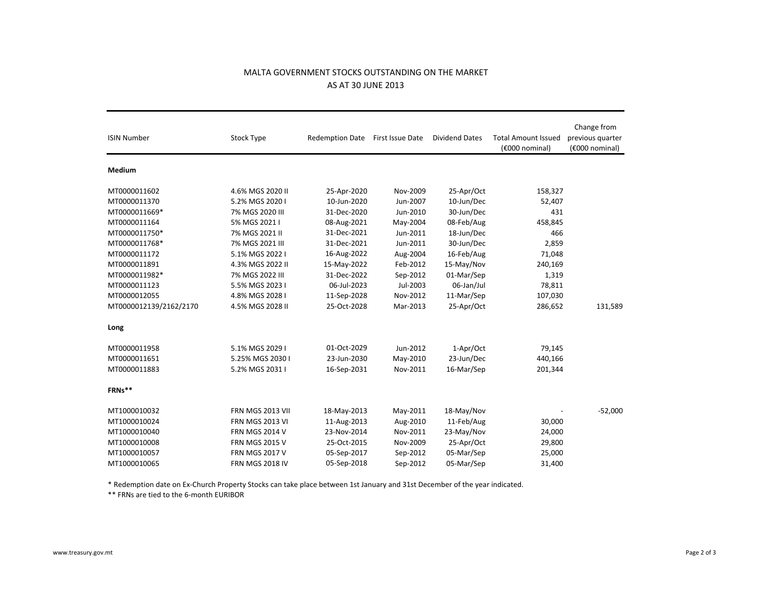## MALTA GOVERNMENT STOCKS OUTSTANDING ON THE MARKETAS AT 30 JUNE 2013

| <b>ISIN Number</b>     | <b>Stock Type</b>      | Redemption Date First Issue Date |          | <b>Dividend Dates</b> | <b>Total Amount Issued</b><br>(€000 nominal) | Change from<br>previous quarter<br>(€000 nominal) |
|------------------------|------------------------|----------------------------------|----------|-----------------------|----------------------------------------------|---------------------------------------------------|
| Medium                 |                        |                                  |          |                       |                                              |                                                   |
| MT0000011602           | 4.6% MGS 2020 II       | 25-Apr-2020                      | Nov-2009 | 25-Apr/Oct            | 158,327                                      |                                                   |
| MT0000011370           | 5.2% MGS 2020 I        | 10-Jun-2020                      | Jun-2007 | 10-Jun/Dec            | 52,407                                       |                                                   |
| MT0000011669*          | 7% MGS 2020 III        | 31-Dec-2020                      | Jun-2010 | 30-Jun/Dec            | 431                                          |                                                   |
| MT0000011164           | 5% MGS 2021 I          | 08-Aug-2021                      | May-2004 | 08-Feb/Aug            | 458,845                                      |                                                   |
| MT0000011750*          | 7% MGS 2021 II         | 31-Dec-2021                      | Jun-2011 | 18-Jun/Dec            | 466                                          |                                                   |
| MT0000011768*          | 7% MGS 2021 III        | 31-Dec-2021                      | Jun-2011 | 30-Jun/Dec            | 2,859                                        |                                                   |
| MT0000011172           | 5.1% MGS 2022 I        | 16-Aug-2022                      | Aug-2004 | 16-Feb/Aug            | 71,048                                       |                                                   |
| MT0000011891           | 4.3% MGS 2022 II       | 15-May-2022                      | Feb-2012 | 15-May/Nov            | 240,169                                      |                                                   |
| MT0000011982*          | 7% MGS 2022 III        | 31-Dec-2022                      | Sep-2012 | 01-Mar/Sep            | 1,319                                        |                                                   |
| MT0000011123           | 5.5% MGS 2023 I        | 06-Jul-2023                      | Jul-2003 | 06-Jan/Jul            | 78,811                                       |                                                   |
| MT0000012055           | 4.8% MGS 2028 I        | 11-Sep-2028                      | Nov-2012 | 11-Mar/Sep            | 107,030                                      |                                                   |
| MT0000012139/2162/2170 | 4.5% MGS 2028 II       | 25-Oct-2028                      | Mar-2013 | 25-Apr/Oct            | 286,652                                      | 131,589                                           |
| Long                   |                        |                                  |          |                       |                                              |                                                   |
| MT0000011958           | 5.1% MGS 2029 I        | 01-Oct-2029                      | Jun-2012 | 1-Apr/Oct             | 79,145                                       |                                                   |
| MT0000011651           | 5.25% MGS 2030 I       | 23-Jun-2030                      | May-2010 | 23-Jun/Dec            | 440,166                                      |                                                   |
| MT0000011883           | 5.2% MGS 2031 I        | 16-Sep-2031                      | Nov-2011 | 16-Mar/Sep            | 201,344                                      |                                                   |
| FRNs**                 |                        |                                  |          |                       |                                              |                                                   |
| MT1000010032           | FRN MGS 2013 VII       | 18-May-2013                      | May-2011 | 18-May/Nov            |                                              | $-52,000$                                         |
| MT1000010024           | <b>FRN MGS 2013 VI</b> | 11-Aug-2013                      | Aug-2010 | 11-Feb/Aug            | 30,000                                       |                                                   |
| MT1000010040           | <b>FRN MGS 2014 V</b>  | 23-Nov-2014                      | Nov-2011 | 23-May/Nov            | 24,000                                       |                                                   |
| MT1000010008           | <b>FRN MGS 2015 V</b>  | 25-Oct-2015                      | Nov-2009 | 25-Apr/Oct            | 29,800                                       |                                                   |
| MT1000010057           | <b>FRN MGS 2017 V</b>  | 05-Sep-2017                      | Sep-2012 | 05-Mar/Sep            | 25,000                                       |                                                   |
| MT1000010065           | <b>FRN MGS 2018 IV</b> | 05-Sep-2018                      | Sep-2012 | 05-Mar/Sep            | 31,400                                       |                                                   |

\* Redemption date on Ex-Church Property Stocks can take place between 1st January and 31st December of the year indicated.

\*\* FRNs are tied to the 6-month EURIBOR